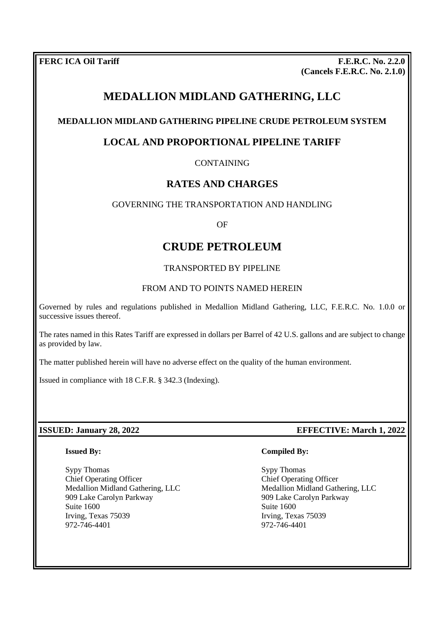**FERC ICA Oil Tariff F.E.R.C. No. 2.2.0 (Cancels F.E.R.C. No. 2.1.0)**

# **MEDALLION MIDLAND GATHERING, LLC**

## **MEDALLION MIDLAND GATHERING PIPELINE CRUDE PETROLEUM SYSTEM**

# **LOCAL AND PROPORTIONAL PIPELINE TARIFF**

## CONTAINING

## **RATES AND CHARGES**

### GOVERNING THE TRANSPORTATION AND HANDLING

OF

# **CRUDE PETROLEUM**

#### TRANSPORTED BY PIPELINE

#### FROM AND TO POINTS NAMED HEREIN

Governed by rules and regulations published in Medallion Midland Gathering, LLC, F.E.R.C. No. 1.0.0 or successive issues thereof.

The rates named in this Rates Tariff are expressed in dollars per Barrel of 42 U.S. gallons and are subject to change as provided by law.

The matter published herein will have no adverse effect on the quality of the human environment.

Issued in compliance with 18 C.F.R. § 342.3 (Indexing).

#### **ISSUED: January 28, 2022 EFFECTIVE: March 1, 2022**

#### **Issued By:**

Sypy Thomas Chief Operating Officer Medallion Midland Gathering, LLC 909 Lake Carolyn Parkway Suite 1600 Irving, Texas 75039 972-746-4401

#### **Compiled By:**

Sypy Thomas Chief Operating Officer Medallion Midland Gathering, LLC 909 Lake Carolyn Parkway Suite 1600 Irving, Texas 75039 972-746-4401